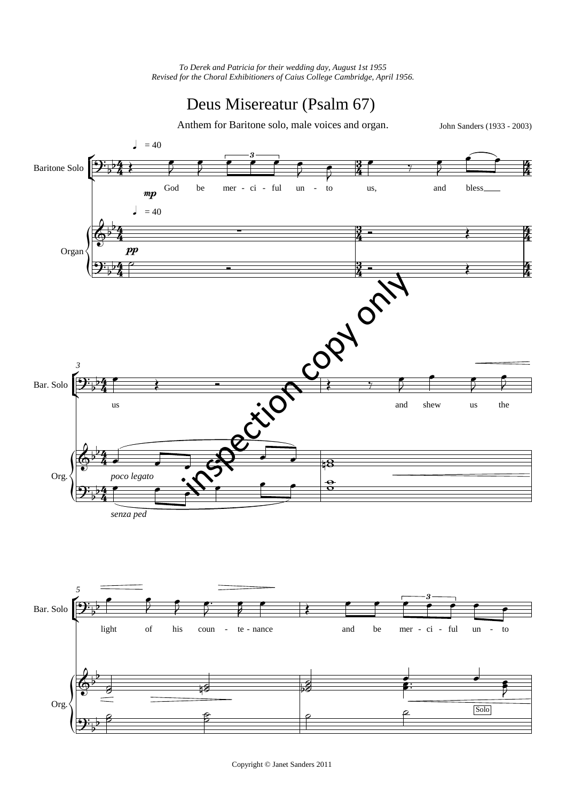## Deus Misereatur (Psalm 67)

Anthem for Baritone solo, male voices and organ.

John Sanders (1933 - 2003)